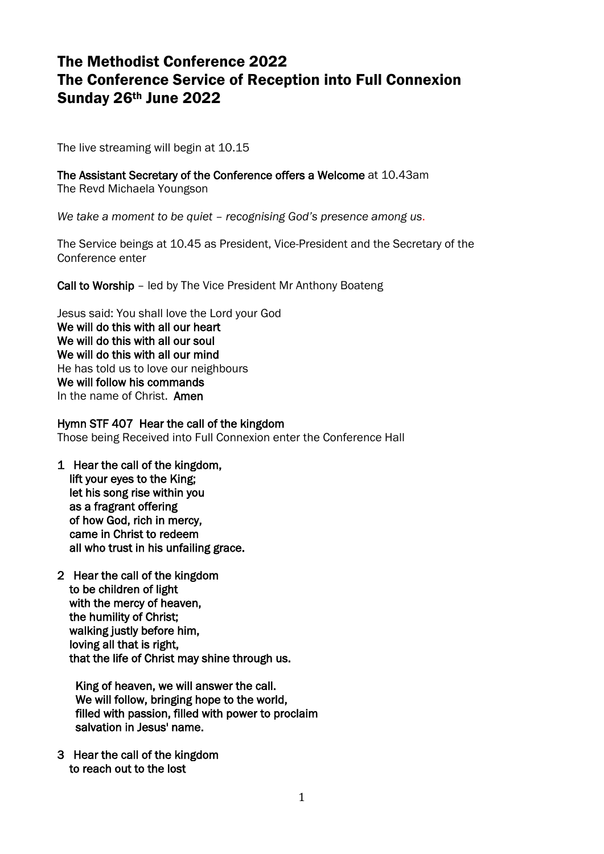# The Methodist Conference 2022 The Conference Service of Reception into Full Connexion Sunday 26th June 2022

The live streaming will begin at 10.15

The Assistant Secretary of the Conference offers a Welcome at 10.43am The Revd Michaela Youngson

*We take a moment to be quiet – recognising God's presence among us*.

The Service beings at 10.45 as President, Vice-President and the Secretary of the Conference enter

Call to Worship – led by The Vice President Mr Anthony Boateng

Jesus said: You shall love the Lord your God We will do this with all our heart We will do this with all our soul We will do this with all our mind He has told us to love our neighbours We will follow his commands In the name of Christ. Amen

#### Hymn STF 407 Hear the call of the kingdom Those being Received into Full Connexion enter the Conference Hall

- 1 Hear the call of the kingdom, lift your eyes to the King; let his song rise within you as a fragrant offering of how God, rich in mercy, came in Christ to redeem all who trust in his unfailing grace.
- 2 Hear the call of the kingdom to be children of light with the mercy of heaven, the humility of Christ; walking justly before him, loving all that is right, that the life of Christ may shine through us.

 King of heaven, we will answer the call. We will follow, bringing hope to the world, filled with passion, filled with power to proclaim salvation in Jesus' name.

3 Hear the call of the kingdom to reach out to the lost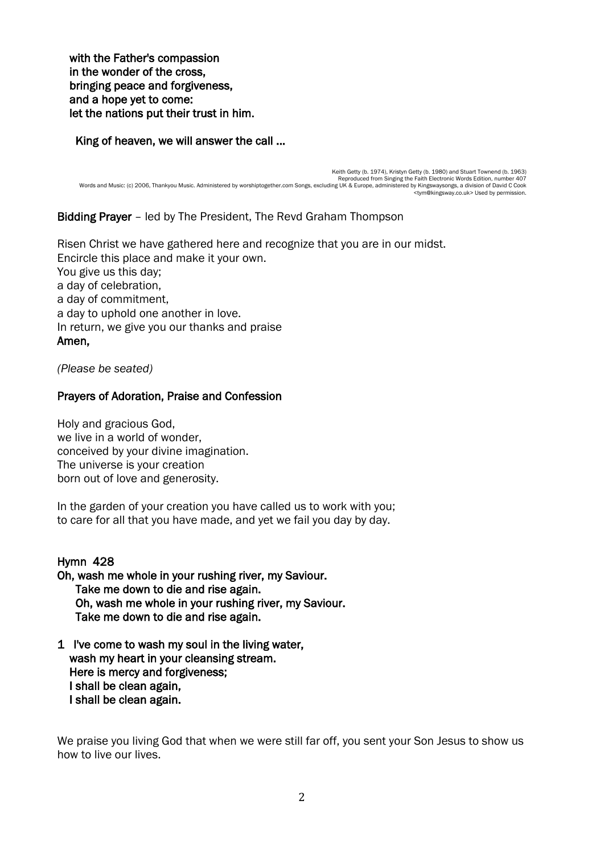with the Father's compassion in the wonder of the cross, bringing peace and forgiveness, and a hope yet to come: let the nations put their trust in him.

#### King of heaven, we will answer the call ...

Keith Getty (b. 1974), Kristyn Getty (b. 1980) and Stuart Townend (b. 1963) Reproduced from Singing the Faith Electronic Words Edition, number 407<br>Words and Music: (c) 2006, Thankyou Music. Administered by worshiptogether.com Songs, excluding UK & Europe, administered by «tyngswaysongs, a division

## Bidding Prayer – led by The President, The Revd Graham Thompson

Risen Christ we have gathered here and recognize that you are in our midst. Encircle this place and make it your own. You give us this day; a day of celebration, a day of commitment, a day to uphold one another in love. In return, we give you our thanks and praise

## Amen,

*(Please be seated)*

## Prayers of Adoration, Praise and Confession

Holy and gracious God, we live in a world of wonder, conceived by your divine imagination. The universe is your creation born out of love and generosity.

In the garden of your creation you have called us to work with you; to care for all that you have made, and yet we fail you day by day.

#### Hymn 428

#### Oh, wash me whole in your rushing river, my Saviour. Take me down to die and rise again. Oh, wash me whole in your rushing river, my Saviour. Take me down to die and rise again.

1 I've come to wash my soul in the living water, wash my heart in your cleansing stream. Here is mercy and forgiveness; I shall be clean again, I shall be clean again.

We praise you living God that when we were still far off, you sent your Son Jesus to show us how to live our lives.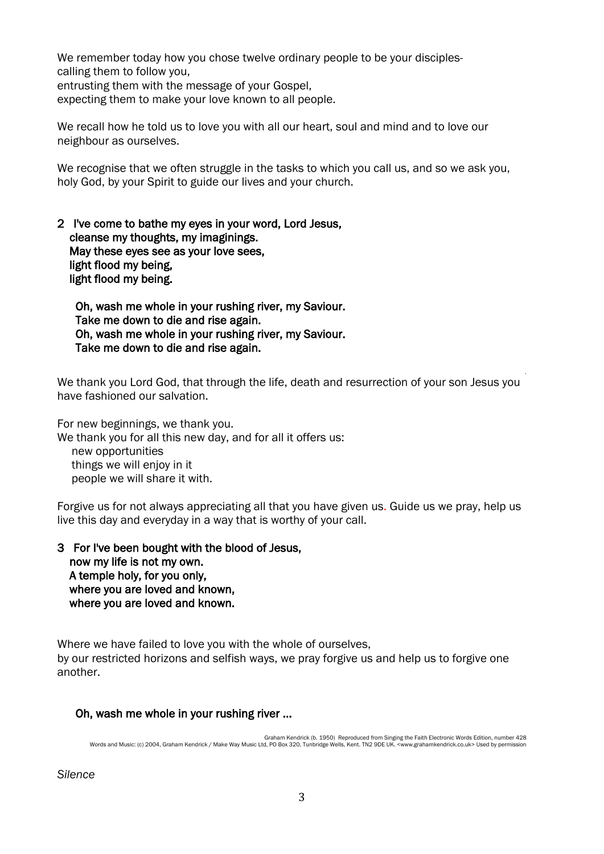We remember today how you chose twelve ordinary people to be your disciplescalling them to follow you,

entrusting them with the message of your Gospel, expecting them to make your love known to all people.

We recall how he told us to love you with all our heart, soul and mind and to love our neighbour as ourselves.

We recognise that we often struggle in the tasks to which you call us, and so we ask you, holy God, by your Spirit to guide our lives and your church.

## 2 I've come to bathe my eyes in your word, Lord Jesus, cleanse my thoughts, my imaginings. May these eyes see as your love sees, light flood my being, light flood my being.

 Oh, wash me whole in your rushing river, my Saviour. Take me down to die and rise again. Oh, wash me whole in your rushing river, my Saviour. Take me down to die and rise again.

We thank you Lord God, that through the life, death and resurrection of your son Jesus you have fashioned our salvation.

For new beginnings, we thank you. We thank you for all this new day, and for all it offers us: new opportunities things we will enjoy in it people we will share it with.

Forgive us for not always appreciating all that you have given us. Guide us we pray, help us live this day and everyday in a way that is worthy of your call.

3 For I've been bought with the blood of Jesus, now my life is not my own. A temple holy, for you only, where you are loved and known, where you are loved and known.

Where we have failed to love you with the whole of ourselves, by our restricted horizons and selfish ways, we pray forgive us and help us to forgive one another.

## Oh, wash me whole in your rushing river ...

Graham Kendrick (b. 1950) Reproduced from Singing the Faith Electronic Words Edition, number 428 Words and Music: (c) 2004, Graham Kendrick / Make Way Music Ltd, PO Box 320, Tunbridge Wells, Kent. TN2 9DE UK. <www.grahamkendrick.co.uk> Used by permission

*Silence*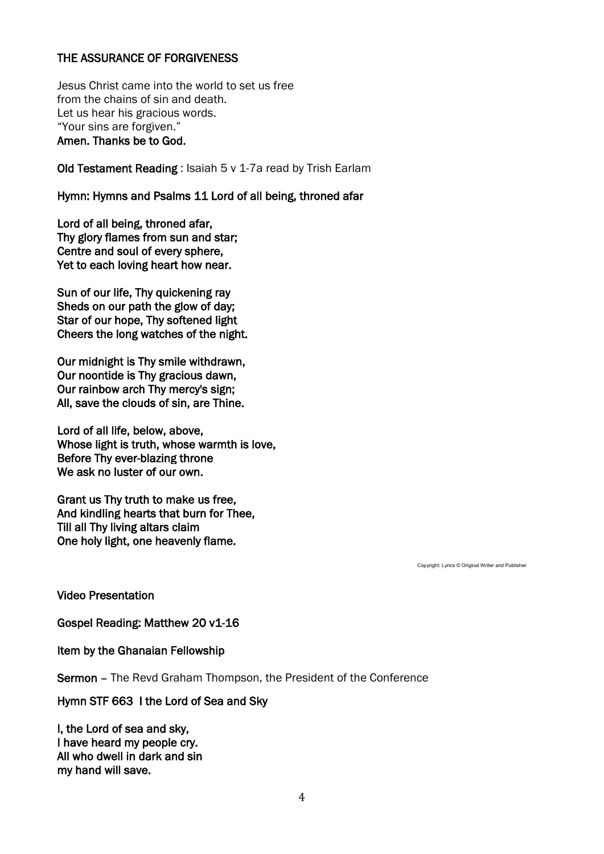## THE ASSURANCE OF FORGIVENESS

Jesus Christ came into the world to set us free from the chains of sin and death. Let us hear his gracious words. "Your sins are forgiven." Amen. Thanks be to God.

Old Testament Reading: Isaiah 5 v 1-7a read by Trish Earlam

Hymn: Hymns and Psalms 11 Lord of all being, throned afar

Lord of all being, throned afar, Thy glory flames from sun and star; Centre and soul of every sphere, Yet to each loving heart how near.

Sun of our life, Thy quickening ray Sheds on our path the glow of day; Star of our hope, Thy softened light Cheers the long watches of the night.

Our midnight is Thy smile withdrawn, Our noontide is Thy gracious dawn, Our rainbow arch Thy mercy's sign; All, save the clouds of sin, are Thine.

Lord of all life, below, above, Whose light is truth, whose warmth is love, Before Thy ever-blazing throne We ask no luster of our own.

Grant us Thy truth to make us free, And kindling hearts that burn for Thee, Till all Thy living altars claim One holy light, one heavenly flame.

Copyright: Lyrics © Original Writer and Publisher

Video Presentation

Gospel Reading: Matthew 20 v1-16

Item by the Ghanaian Fellowship

Sermon – The Revd Graham Thompson, the President of the Conference

Hymn STF 663 I the Lord of Sea and Sky

I, the Lord of sea and sky, I have heard my people cry. All who dwell in dark and sin my hand will save.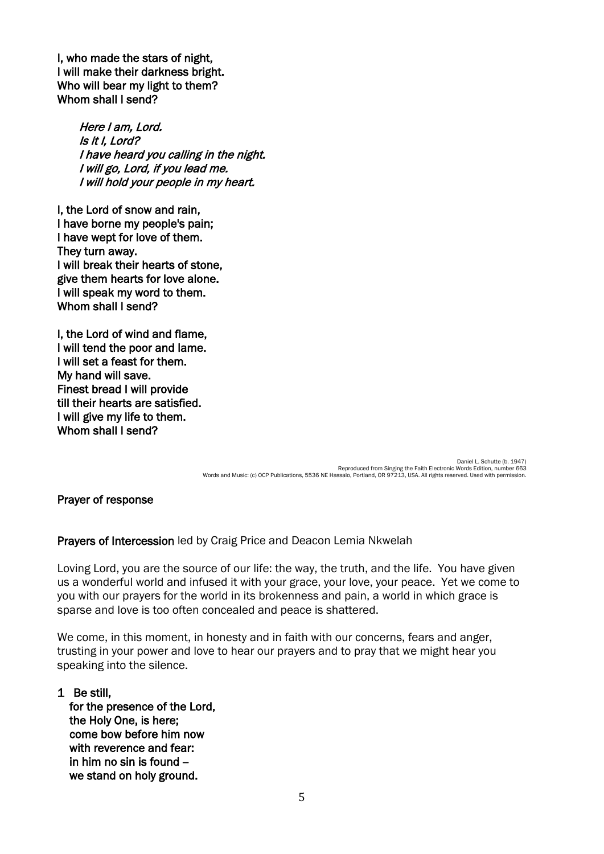I, who made the stars of night, I will make their darkness bright. Who will bear my light to them? Whom shall I send?

> Here I am, Lord. Is it I, Lord? I have heard you calling in the night. I will go, Lord, if you lead me. I will hold your people in my heart.

I, the Lord of snow and rain, I have borne my people's pain; I have wept for love of them. They turn away. I will break their hearts of stone, give them hearts for love alone. I will speak my word to them. Whom shall I send?

I, the Lord of wind and flame, I will tend the poor and lame. I will set a feast for them. My hand will save. Finest bread I will provide till their hearts are satisfied. I will give my life to them. Whom shall I send?

> Daniel L. Schutte (b. 1947) Reproduced from Singing the Faith Electronic Words Edition, number 663<br>Words and Music: (c) OCP Publications, 5536 NE Hassalo, Portland, OR 97213, USA. All rights reserved. Used with permission.

#### Prayer of response

#### Prayers of Intercession led by Craig Price and Deacon Lemia Nkwelah

Loving Lord, you are the source of our life: the way, the truth, and the life. You have given us a wonderful world and infused it with your grace, your love, your peace. Yet we come to you with our prayers for the world in its brokenness and pain, a world in which grace is sparse and love is too often concealed and peace is shattered.

We come, in this moment, in honesty and in faith with our concerns, fears and anger, trusting in your power and love to hear our prayers and to pray that we might hear you speaking into the silence.

#### 1 Be still, for the presence of the Lord, the Holy One, is here; come bow before him now with reverence and fear: in him no sin is found  $$ we stand on holy ground.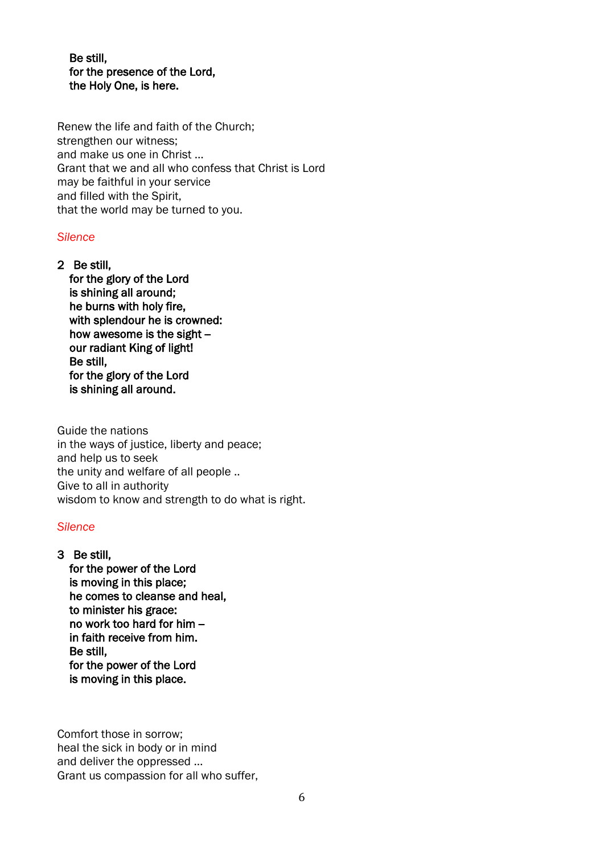#### Be still, for the presence of the Lord, the Holy One, is here.

Renew the life and faith of the Church; strengthen our witness; and make us one in Christ … Grant that we and all who confess that Christ is Lord may be faithful in your service and filled with the Spirit, that the world may be turned to you.

## *Silence*

2 Be still, for the glory of the Lord is shining all around; he burns with holy fire, with splendour he is crowned: how awesome is the sight  $$  our radiant King of light! Be still, for the glory of the Lord is shining all around.

Guide the nations in the ways of justice, liberty and peace; and help us to seek the unity and welfare of all people .. Give to all in authority wisdom to know and strength to do what is right.

## *Silence*

3 Be still, for the power of the Lord is moving in this place; he comes to cleanse and heal, to minister his grace: no work too hard for him in faith receive from him. Be still, for the power of the Lord is moving in this place.

Comfort those in sorrow; heal the sick in body or in mind and deliver the oppressed … Grant us compassion for all who suffer,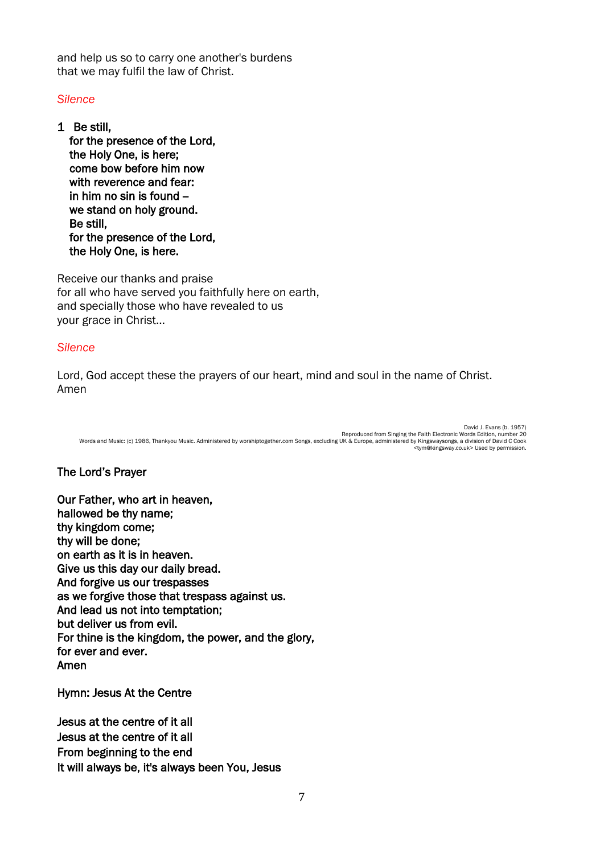and help us so to carry one another's burdens that we may fulfil the law of Christ.

## *Silence*

1 Be still, for the presence of the Lord, the Holy One, is here; come bow before him now with reverence and fear: in him no sin is found  $$  we stand on holy ground. Be still, for the presence of the Lord, the Holy One, is here.

Receive our thanks and praise for all who have served you faithfully here on earth, and specially those who have revealed to us your grace in Christ…

## *Silence*

Lord, God accept these the prayers of our heart, mind and soul in the name of Christ. Amen

 David J. Evans (b. 1957) Reproduced from Singing the Faith Electronic Words Edition, number 20<br>Words and Music: (c) 1986, Thankyou Music. Administered by worshiptogether.com Songs, excluding UK & Europe, administered by Kingswaysongs, a division o <tym@kingsway.co.uk> Used by permission.

## The Lord's Prayer

Our Father, who art in heaven, hallowed be thy name; thy kingdom come; thy will be done; on earth as it is in heaven. Give us this day our daily bread. And forgive us our trespasses as we forgive those that trespass against us. And lead us not into temptation; but deliver us from evil. For thine is the kingdom, the power, and the glory, for ever and ever. Amen

Hymn: Jesus At the Centre

Jesus at the centre of it all Jesus at the centre of it all From beginning to the end It will always be, it's always been You, Jesus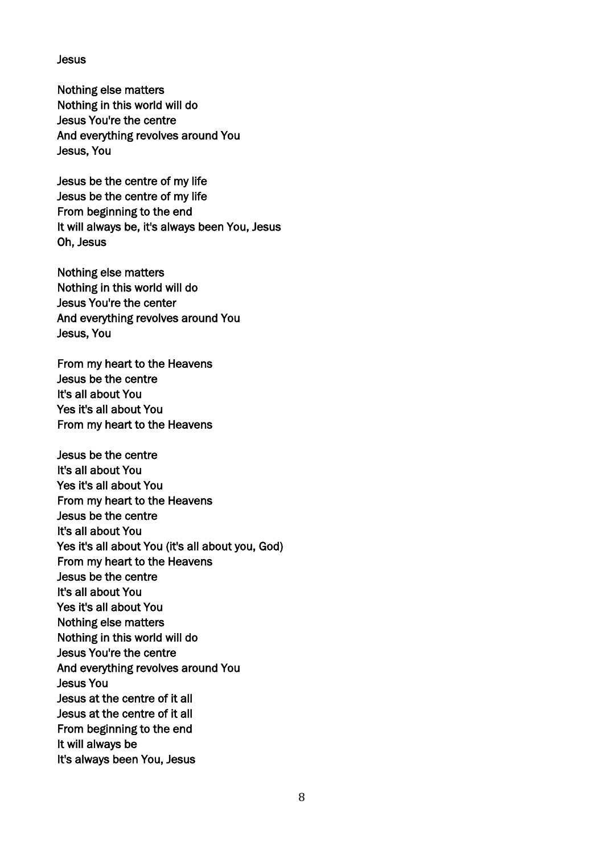Jesus

Nothing else matters Nothing in this world will do Jesus You're the centre And everything revolves around You Jesus, You

Jesus be the centre of my life Jesus be the centre of my life From beginning to the end It will always be, it's always been You, Jesus Oh, Jesus

Nothing else matters Nothing in this world will do Jesus You're the center And everything revolves around You Jesus, You

From my heart to the Heavens Jesus be the centre It's all about You Yes it's all about You From my heart to the Heavens

Jesus be the centre It's all about You Yes it's all about You From my heart to the Heavens Jesus be the centre It's all about You Yes it's all about You (it's all about you, God) From my heart to the Heavens Jesus be the centre It's all about You Yes it's all about You Nothing else matters Nothing in this world will do Jesus You're the centre And everything revolves around You Jesus You Jesus at the centre of it all Jesus at the centre of it all From beginning to the end It will always be It's always been You, Jesus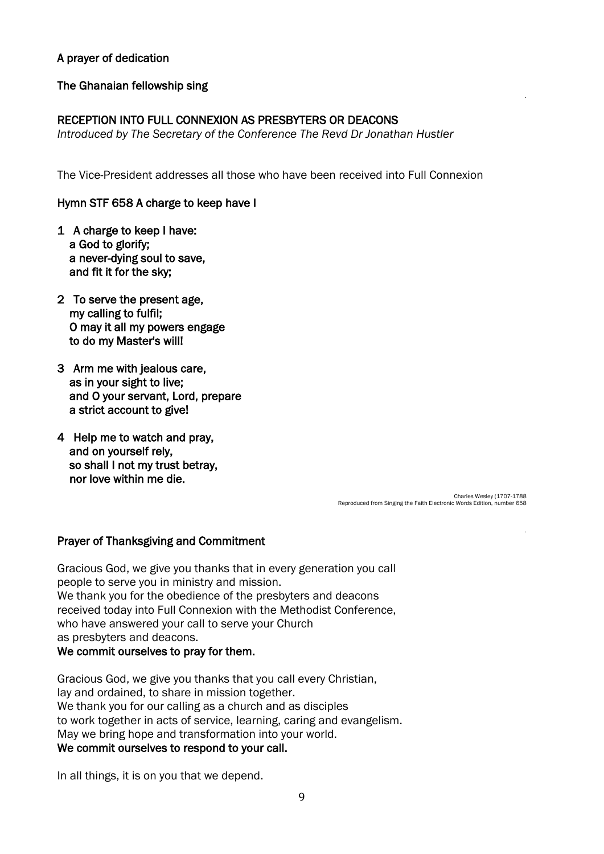## A prayer of dedication

## The Ghanaian fellowship sing .

## RECEPTION INTO FULL CONNEXION AS PRESBYTERS OR DEACONS

*Introduced by The Secretary of the Conference The Revd Dr Jonathan Hustler*

The Vice-President addresses all those who have been received into Full Connexion

#### Hymn STF 658 A charge to keep have I

- 1 A charge to keep I have: a God to glorify; a never-dying soul to save, and fit it for the sky;
- 2 To serve the present age, my calling to fulfil; O may it all my powers engage to do my Master's will!
- 3 Arm me with jealous care, as in your sight to live; and O your servant, Lord, prepare a strict account to give!
- 4 Help me to watch and pray, and on yourself rely, so shall I not my trust betray, nor love within me die.

Charles Wesley (1707-1788 Reproduced from Singing the Faith Electronic Words Edition, number 658

#### . Prayer of Thanksgiving and Commitment

Gracious God, we give you thanks that in every generation you call people to serve you in ministry and mission. We thank you for the obedience of the presbyters and deacons received today into Full Connexion with the Methodist Conference, who have answered your call to serve your Church as presbyters and deacons. We commit ourselves to pray for them.

Gracious God, we give you thanks that you call every Christian, lay and ordained, to share in mission together. We thank you for our calling as a church and as disciples to work together in acts of service, learning, caring and evangelism. May we bring hope and transformation into your world. We commit ourselves to respond to your call.

In all things, it is on you that we depend.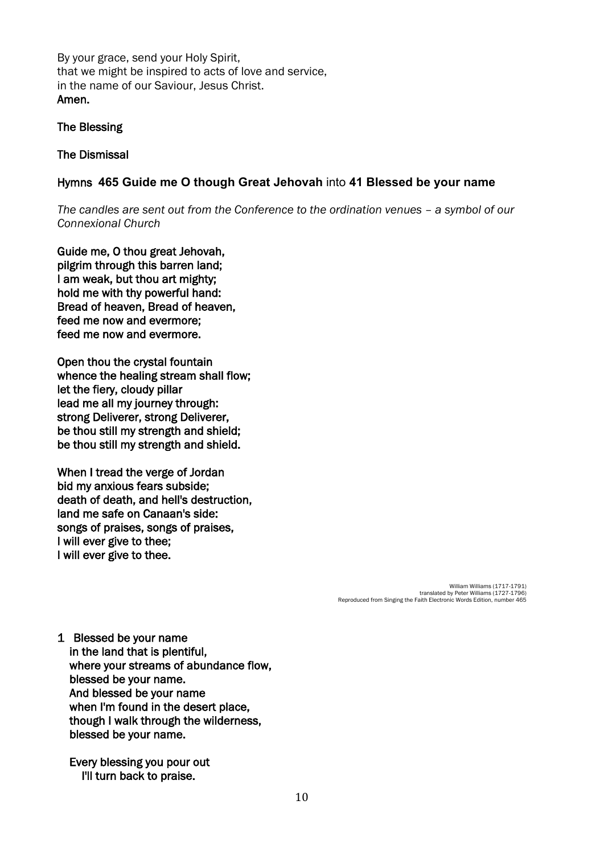By your grace, send your Holy Spirit, that we might be inspired to acts of love and service, in the name of our Saviour, Jesus Christ. Amen.

The Blessing

The Dismissal

## Hymns **465 Guide me O though Great Jehovah** into **41 Blessed be your name**

*The candles are sent out from the Conference to the ordination venues – a symbol of our Connexional Church*

Guide me, O thou great Jehovah, pilgrim through this barren land; I am weak, but thou art mighty; hold me with thy powerful hand: Bread of heaven, Bread of heaven, feed me now and evermore; feed me now and evermore.

Open thou the crystal fountain whence the healing stream shall flow; let the fiery, cloudy pillar lead me all my journey through: strong Deliverer, strong Deliverer, be thou still my strength and shield; be thou still my strength and shield.

When I tread the verge of Jordan bid my anxious fears subside; death of death, and hell's destruction, land me safe on Canaan's side: songs of praises, songs of praises, I will ever give to thee; I will ever give to thee.

> William Williams (1717-1791) translated by Peter Williams (1727-1796)<br>Reproduced from Singing the Faith Electronic Words Edition, number 465

1 Blessed be your name in the land that is plentiful, where your streams of abundance flow, blessed be your name. And blessed be your name when I'm found in the desert place, though I walk through the wilderness, blessed be your name.

 Every blessing you pour out I'll turn back to praise.